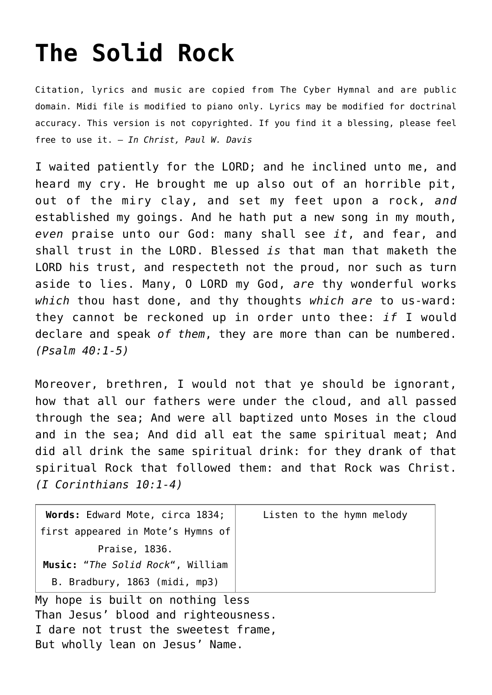## **[The Solid Rock](http://reproachofmen.org/hymns-and-music/the-solid-rock/)**

Citation, lyrics and music are copied from [The Cyber Hymnal](http://www.hymntime.com/tch/index.htm) and are public domain. Midi file is modified to piano only. Lyrics may be modified for doctrinal accuracy. This version is not copyrighted. If you find it a blessing, please feel free to use it. — *In Christ, Paul W. Davis*

I waited patiently for the LORD; and he inclined unto me, and heard my cry. He brought me up also out of an horrible pit, out of the miry clay, and set my feet upon a rock, *and* established my goings. And he hath put a new song in my mouth, *even* praise unto our God: many shall see *it*, and fear, and shall trust in the LORD. Blessed *is* that man that maketh the LORD his trust, and respecteth not the proud, nor such as turn aside to lies. Many, O LORD my God, *are* thy wonderful works *which* thou hast done, and thy thoughts *which are* to us-ward: they cannot be reckoned up in order unto thee: *if* I would declare and speak *of them*, they are more than can be numbered. *(Psalm 40:1-5)*

Moreover, brethren, I would not that ye should be ignorant, how that all our fathers were under the cloud, and all passed through the sea; And were all baptized unto Moses in the cloud and in the sea; And did all eat the same spiritual meat; And did all drink the same spiritual drink: for they drank of that spiritual Rock that followed them: and that Rock was Christ. *(I Corinthians 10:1-4)*

| Words: Edward Mote, circa 1834;   | Listen to the hymn melody |
|-----------------------------------|---------------------------|
| first appeared in Mote's Hymns of |                           |
| Praise, 1836.                     |                           |
| Music: "The Solid Rock", William  |                           |
| B. Bradbury, 1863 (midi, mp3)     |                           |
| My hope is built on nothing less  |                           |

Than Jesus' blood and righteousness. I dare not trust the sweetest frame, But wholly lean on Jesus' Name.